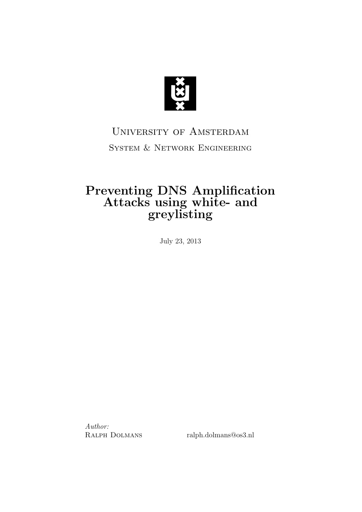

## University of Amsterdam System & Network Engineering

### Preventing DNS Amplification Attacks using white- and greylisting

July 23, 2013

Author:

RALPH DOLMANS ralph.dolmans@os3.nl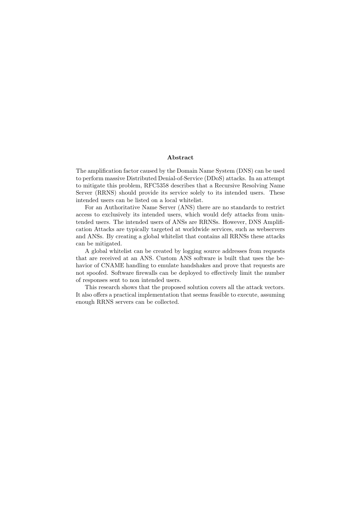#### Abstract

The amplification factor caused by the Domain Name System (DNS) can be used to perform massive Distributed Denial-of-Service (DDoS) attacks. In an attempt to mitigate this problem, RFC5358 describes that a Recursive Resolving Name Server (RRNS) should provide its service solely to its intended users. These intended users can be listed on a local whitelist.

For an Authoritative Name Server (ANS) there are no standards to restrict access to exclusively its intended users, which would defy attacks from unintended users. The intended users of ANSs are RRNSs. However, DNS Amplification Attacks are typically targeted at worldwide services, such as webservers and ANSs. By creating a global whitelist that contains all RRNSs these attacks can be mitigated.

A global whitelist can be created by logging source addresses from requests that are received at an ANS. Custom ANS software is built that uses the behavior of CNAME handling to emulate handshakes and prove that requests are not spoofed. Software firewalls can be deployed to effectively limit the number of responses sent to non intended users.

This research shows that the proposed solution covers all the attack vectors. It also offers a practical implementation that seems feasible to execute, assuming enough RRNS servers can be collected.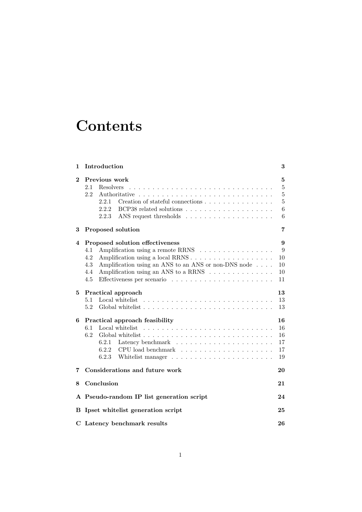## **Contents**

| 1           | Introduction                                                                                                                                                                                                                                | 3                                                             |  |  |  |  |
|-------------|---------------------------------------------------------------------------------------------------------------------------------------------------------------------------------------------------------------------------------------------|---------------------------------------------------------------|--|--|--|--|
| $\bf{2}$    | Previous work<br>2.1<br>Resolvers<br>2.2<br>Creation of stateful connections<br>2.2.1<br>2.2.2<br>2.2.3                                                                                                                                     | $\overline{5}$<br>$\bf 5$<br>$\bf 5$<br>$\bf 5$<br>$\,6$<br>6 |  |  |  |  |
| 3           | Proposed solution                                                                                                                                                                                                                           |                                                               |  |  |  |  |
| 4           | Proposed solution effectiveness<br>Amplification using a remote RRNS<br>4.1<br>4.2<br>Amplification using a local RRNS<br>4.3<br>Amplification using an ANS to an ANS or non-DNS node<br>Amplification using an ANS to a RRNS<br>4.4<br>4.5 | 9<br>9<br>10<br>10<br>10<br>11                                |  |  |  |  |
| 5.          | Practical approach<br>5.1<br>Local whitelist<br>5.2                                                                                                                                                                                         | 13<br>13<br>13                                                |  |  |  |  |
| 6           | Practical approach feasibility<br>6.1<br>6.2<br>Global whitelist $\ldots$ , $\ldots$ , $\ldots$ , $\ldots$ , $\ldots$ , $\ldots$ , $\ldots$ , $\ldots$ , $\ldots$<br>6.2.2<br>6.2.3                                                         | 16<br>16<br>16<br>17<br>17<br>19                              |  |  |  |  |
| 7           | Considerations and future work<br>20                                                                                                                                                                                                        |                                                               |  |  |  |  |
| 8           | Conclusion<br>21                                                                                                                                                                                                                            |                                                               |  |  |  |  |
|             | A Pseudo-random IP list generation script<br>24                                                                                                                                                                                             |                                                               |  |  |  |  |
| в           | Ipset whitelist generation script<br>25                                                                                                                                                                                                     |                                                               |  |  |  |  |
| $\mathbf C$ | Latency benchmark results<br>26                                                                                                                                                                                                             |                                                               |  |  |  |  |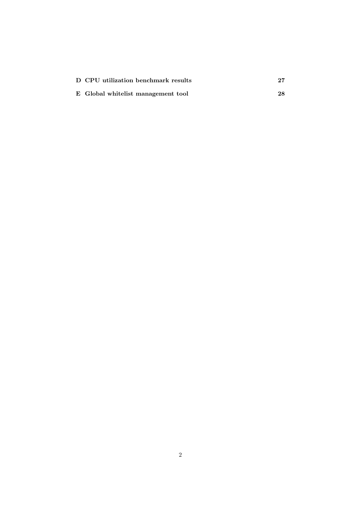| D CPU utilization benchmark results | $\bf 27$ |
|-------------------------------------|----------|
| E Global whitelist management tool  | 28       |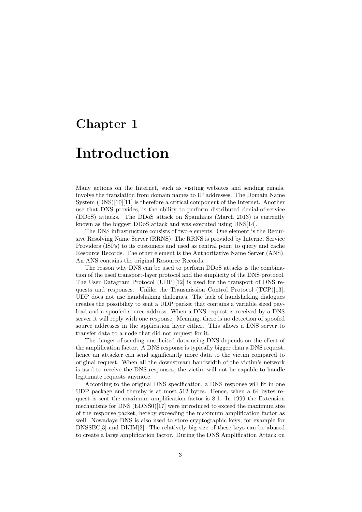## Introduction

Many actions on the Internet, such as visiting websites and sending emails, involve the translation from domain names to IP addresses. The Domain Name System (DNS)[10][11] is therefore a critical component of the Internet. Another use that DNS provides, is the ability to perform distributed denial-of-service (DDoS) attacks. The DDoS attack on Spamhaus (March 2013) is currently known as the biggest DDoS attack and was executed using DNS[14].

The DNS infrastructure consists of two elements. One element is the Recursive Resolving Name Server (RRNS). The RRNS is provided by Internet Service Providers (ISPs) to its customers and used as central point to query and cache Resource Records. The other element is the Authoritative Name Server (ANS). An ANS contains the original Resource Records.

The reason why DNS can be used to perform DDoS attacks is the combination of the used transport-layer protocol and the simplicity of the DNS protocol. The User Datagram Protocol (UDP)[12] is used for the transport of DNS requests and responses. Unlike the Transmission Control Protocol (TCP)[13], UDP does not use handshaking dialogues. The lack of handshaking dialogues creates the possibility to sent a UDP packet that contains a variable sized payload and a spoofed source address. When a DNS request is received by a DNS server it will reply with one response. Meaning, there is no detection of spoofed source addresses in the application layer either. This allows a DNS server to transfer data to a node that did not request for it.

The danger of sending unsolicited data using DNS depends on the effect of the amplification factor. A DNS response is typically bigger than a DNS request, hence an attacker can send significantly more data to the victim compared to original request. When all the downstream bandwidth of the victim's network is used to receive the DNS responses, the victim will not be capable to handle legitimate requests anymore.

According to the original DNS specification, a DNS response will fit in one UDP package and thereby is at most 512 bytes. Hence, when a 64 bytes request is sent the maximum amplification factor is 8:1. In 1999 the Extension mechanisms for DNS (EDNS0)[17] were introduced to exceed the maximum size of the response packet, hereby exceeding the maximum amplification factor as well. Nowadays DNS is also used to store cryptographic keys, for example for DNSSEC[3] and DKIM[2]. The relatively big size of these keys can be abused to create a large amplification factor. During the DNS Amplification Attack on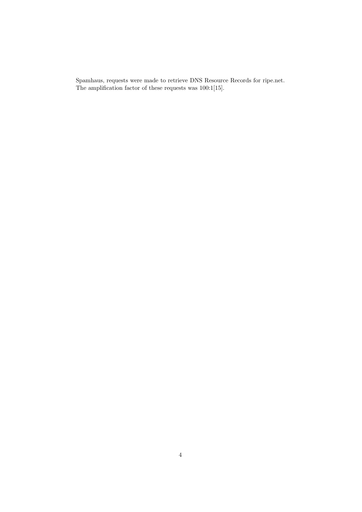Spamhaus, requests were made to retrieve DNS Resource Records for ripe.net. The amplification factor of these requests was 100:1[15].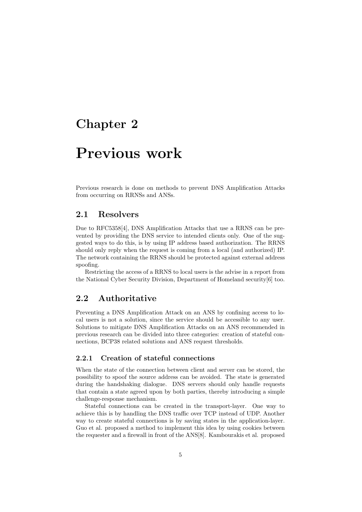## Previous work

Previous research is done on methods to prevent DNS Amplification Attacks from occurring on RRNSs and ANSs.

#### 2.1 Resolvers

Due to RFC5358[4], DNS Amplification Attacks that use a RRNS can be prevented by providing the DNS service to intended clients only. One of the suggested ways to do this, is by using IP address based authorization. The RRNS should only reply when the request is coming from a local (and authorized) IP. The network containing the RRNS should be protected against external address spoofing.

Restricting the access of a RRNS to local users is the advise in a report from the National Cyber Security Division, Department of Homeland security[6] too.

### 2.2 Authoritative

Preventing a DNS Amplification Attack on an ANS by confining access to local users is not a solution, since the service should be accessible to any user. Solutions to mitigate DNS Amplification Attacks on an ANS recommended in previous research can be divided into three categories: creation of stateful connections, BCP38 related solutions and ANS request thresholds.

#### 2.2.1 Creation of stateful connections

When the state of the connection between client and server can be stored, the possibility to spoof the source address can be avoided. The state is generated during the handshaking dialogue. DNS servers should only handle requests that contain a state agreed upon by both parties, thereby introducing a simple challenge-response mechanism.

Stateful connections can be created in the transport-layer. One way to achieve this is by handling the DNS traffic over TCP instead of UDP. Another way to create stateful connections is by saving states in the application-layer. Guo et al. proposed a method to implement this idea by using cookies between the requester and a firewall in front of the ANS[8]. Kambourakis et al. proposed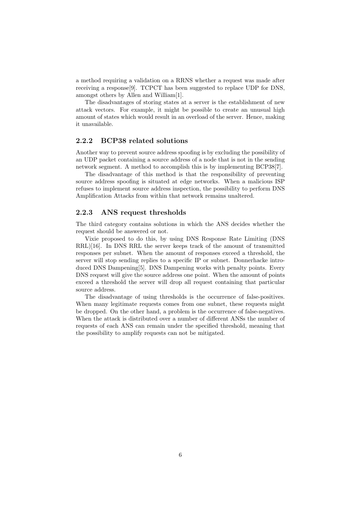a method requiring a validation on a RRNS whether a request was made after receiving a response[9]. TCPCT has been suggested to replace UDP for DNS, amongst others by Allen and William[1].

The disadvantages of storing states at a server is the establishment of new attack vectors. For example, it might be possible to create an unusual high amount of states which would result in an overload of the server. Hence, making it unavailable.

#### 2.2.2 BCP38 related solutions

Another way to prevent source address spoofing is by excluding the possibility of an UDP packet containing a source address of a node that is not in the sending network segment. A method to accomplish this is by implementing BCP38[7].

The disadvantage of this method is that the responsibility of preventing source address spoofing is situated at edge networks. When a malicious ISP refuses to implement source address inspection, the possibility to perform DNS Amplification Attacks from within that network remains unaltered.

#### 2.2.3 ANS request thresholds

The third category contains solutions in which the ANS decides whether the request should be answered or not.

Vixie proposed to do this, by using DNS Response Rate Limiting (DNS RRL)[16]. In DNS RRL the server keeps track of the amount of transmitted responses per subnet. When the amount of responses exceed a threshold, the server will stop sending replies to a specific IP or subnet. Donnerhacke introduced DNS Dampening[5]. DNS Dampening works with penalty points. Every DNS request will give the source address one point. When the amount of points exceed a threshold the server will drop all request containing that particular source address.

The disadvantage of using thresholds is the occurrence of false-positives. When many legitimate requests comes from one subnet, these requests might be dropped. On the other hand, a problem is the occurrence of false-negatives. When the attack is distributed over a number of different ANSs the number of requests of each ANS can remain under the specified threshold, meaning that the possibility to amplify requests can not be mitigated.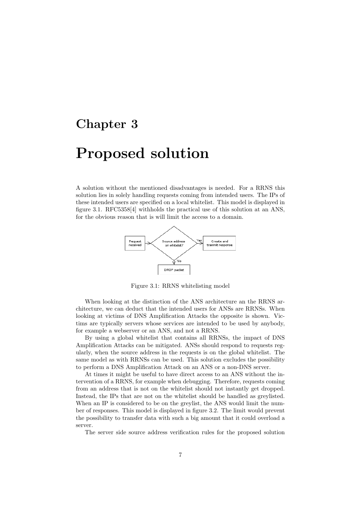## Proposed solution

A solution without the mentioned disadvantages is needed. For a RRNS this solution lies in solely handling requests coming from intended users. The IPs of these intended users are specified on a local whitelist. This model is displayed in figure 3.1. RFC5358[4] withholds the practical use of this solution at an ANS, for the obvious reason that is will limit the access to a domain.



Figure 3.1: RRNS whitelisting model

When looking at the distinction of the ANS architecture an the RRNS architecture, we can deduct that the intended users for ANSs are RRNSs. When looking at victims of DNS Amplification Attacks the opposite is shown. Victims are typically servers whose services are intended to be used by anybody, for example a webserver or an ANS, and not a RRNS.

By using a global whitelist that contains all RRNSs, the impact of DNS Amplification Attacks can be mitigated. ANSs should respond to requests regularly, when the source address in the requests is on the global whitelist. The same model as with RRNSs can be used. This solution excludes the possibility to perform a DNS Amplification Attack on an ANS or a non-DNS server.

At times it might be useful to have direct access to an ANS without the intervention of a RRNS, for example when debugging. Therefore, requests coming from an address that is not on the whitelist should not instantly get dropped. Instead, the IPs that are not on the whitelist should be handled as greylisted. When an IP is considered to be on the greylist, the ANS would limit the number of responses. This model is displayed in figure 3.2. The limit would prevent the possibility to transfer data with such a big amount that it could overload a server.

The server side source address verification rules for the proposed solution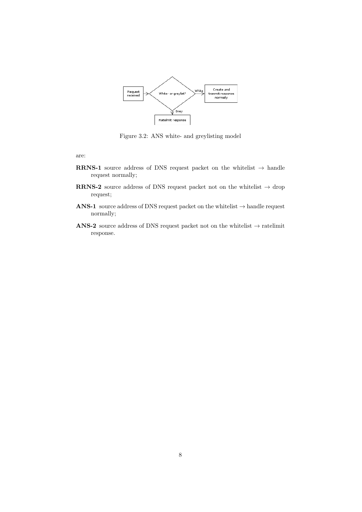

Figure 3.2: ANS white- and greylisting model

are:

- RRNS-1 source address of DNS request packet on the whitelist  $\rightarrow$  handle request normally;
- RRNS-2 source address of DNS request packet not on the whitelist  $\rightarrow$  drop request;
- ANS-1 source address of DNS request packet on the whitelist  $\rightarrow$  handle request normally;
- ANS-2 source address of DNS request packet not on the whitelist  $\rightarrow$  ratelimit response.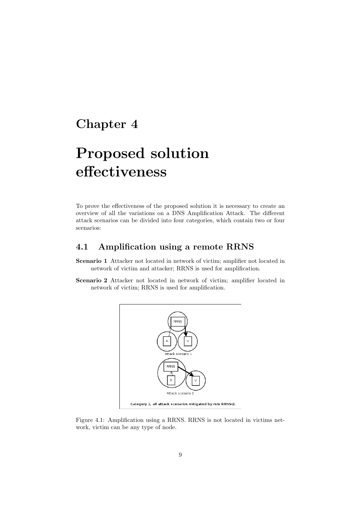# Proposed solution effectiveness

To prove the effectiveness of the proposed solution it is necessary to create an overview of all the variations on a DNS Amplification Attack. The different attack scenarios can be divided into four categories, which contain two or four scenarios:

### 4.1 Amplification using a remote RRNS

- Scenario 1 Attacker not located in network of victim; amplifier not located in network of victim and attacker; RRNS is used for amplification.
- Scenario 2 Attacker not located in network of victim; amplifier located in network of victim; RRNS is used for amplification.



Figure 4.1: Amplification using a RRNS. RRNS is not located in victims network, victim can be any type of node.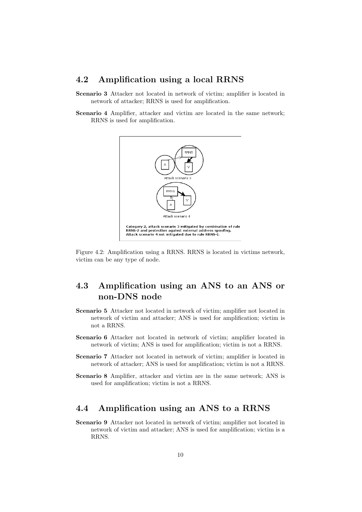#### 4.2 Amplification using a local RRNS

- Scenario 3 Attacker not located in network of victim; amplifier is located in network of attacker; RRNS is used for amplification.
- Scenario 4 Amplifier, attacker and victim are located in the same network; RRNS is used for amplification.



Figure 4.2: Amplification using a RRNS. RRNS is located in victims network, victim can be any type of node.

### 4.3 Amplification using an ANS to an ANS or non-DNS node

- Scenario 5 Attacker not located in network of victim; amplifier not located in network of victim and attacker; ANS is used for amplification; victim is not a RRNS.
- Scenario 6 Attacker not located in network of victim; amplifier located in network of victim; ANS is used for amplification; victim is not a RRNS.
- Scenario 7 Attacker not located in network of victim; amplifier is located in network of attacker; ANS is used for amplification; victim is not a RRNS.
- Scenario 8 Amplifier, attacker and victim are in the same network; ANS is used for amplification; victim is not a RRNS.

### 4.4 Amplification using an ANS to a RRNS

Scenario 9 Attacker not located in network of victim; amplifier not located in network of victim and attacker; ANS is used for amplification; victim is a RRNS.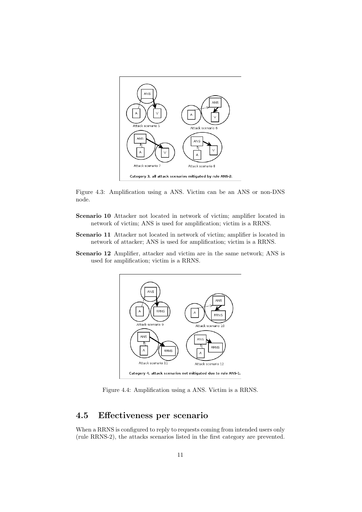

Figure 4.3: Amplification using a ANS. Victim can be an ANS or non-DNS node.

- Scenario 10 Attacker not located in network of victim; amplifier located in network of victim; ANS is used for amplification; victim is a RRNS.
- Scenario 11 Attacker not located in network of victim; amplifier is located in network of attacker; ANS is used for amplification; victim is a RRNS.
- Scenario 12 Amplifier, attacker and victim are in the same network; ANS is used for amplification; victim is a RRNS.



Figure 4.4: Amplification using a ANS. Victim is a RRNS.

### 4.5 Effectiveness per scenario

When a RRNS is configured to reply to requests coming from intended users only (rule RRNS-2), the attacks scenarios listed in the first category are prevented.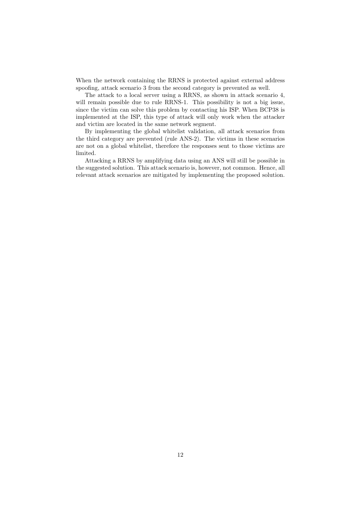When the network containing the RRNS is protected against external address spoofing, attack scenario 3 from the second category is prevented as well.

The attack to a local server using a RRNS, as shown in attack scenario 4, will remain possible due to rule RRNS-1. This possibility is not a big issue, since the victim can solve this problem by contacting his ISP. When BCP38 is implemented at the ISP, this type of attack will only work when the attacker and victim are located in the same network segment.

By implementing the global whitelist validation, all attack scenarios from the third category are prevented (rule ANS-2). The victims in these scenarios are not on a global whitelist, therefore the responses sent to those victims are limited.

Attacking a RRNS by amplifying data using an ANS will still be possible in the suggested solution. This attack scenario is, however, not common. Hence, all relevant attack scenarios are mitigated by implementing the proposed solution.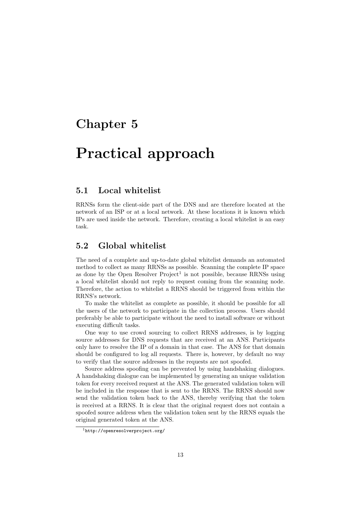## Practical approach

### 5.1 Local whitelist

RRNSs form the client-side part of the DNS and are therefore located at the network of an ISP or at a local network. At these locations it is known which IPs are used inside the network. Therefore, creating a local whitelist is an easy task.

### 5.2 Global whitelist

The need of a complete and up-to-date global whitelist demands an automated method to collect as many RRNSs as possible. Scanning the complete IP space as done by the Open Resolver  $Project<sup>1</sup>$  is not possible, because RRNSs using a local whitelist should not reply to request coming from the scanning node. Therefore, the action to whitelist a RRNS should be triggered from within the RRNS's network.

To make the whitelist as complete as possible, it should be possible for all the users of the network to participate in the collection process. Users should preferably be able to participate without the need to install software or without executing difficult tasks.

One way to use crowd sourcing to collect RRNS addresses, is by logging source addresses for DNS requests that are received at an ANS. Participants only have to resolve the IP of a domain in that case. The ANS for that domain should be configured to log all requests. There is, however, by default no way to verify that the source addresses in the requests are not spoofed.

Source address spoofing can be prevented by using handshaking dialogues. A handshaking dialogue can be implemented by generating an unique validation token for every received request at the ANS. The generated validation token will be included in the response that is sent to the RRNS. The RRNS should now send the validation token back to the ANS, thereby verifying that the token is received at a RRNS. It is clear that the original request does not contain a spoofed source address when the validation token sent by the RRNS equals the original generated token at the ANS.

<sup>1</sup>http://openresolverproject.org/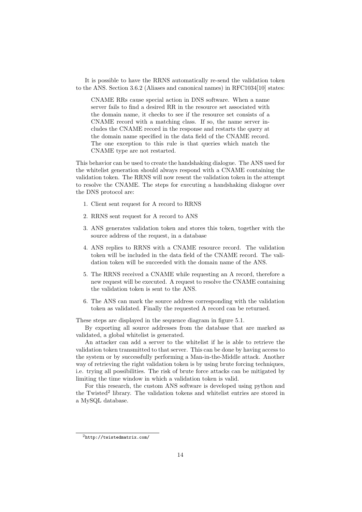It is possible to have the RRNS automatically re-send the validation token to the ANS. Section 3.6.2 (Aliases and canonical names) in RFC1034[10] states:

CNAME RRs cause special action in DNS software. When a name server fails to find a desired RR in the resource set associated with the domain name, it checks to see if the resource set consists of a CNAME record with a matching class. If so, the name server includes the CNAME record in the response and restarts the query at the domain name specified in the data field of the CNAME record. The one exception to this rule is that queries which match the CNAME type are not restarted.

This behavior can be used to create the handshaking dialogue. The ANS used for the whitelist generation should always respond with a CNAME containing the validation token. The RRNS will now resent the validation token in the attempt to resolve the CNAME. The steps for executing a handshaking dialogue over the DNS protocol are:

- 1. Client sent request for A record to RRNS
- 2. RRNS sent request for A record to ANS
- 3. ANS generates validation token and stores this token, together with the source address of the request, in a database
- 4. ANS replies to RRNS with a CNAME resource record. The validation token will be included in the data field of the CNAME record. The validation token will be succeeded with the domain name of the ANS.
- 5. The RRNS received a CNAME while requesting an A record, therefore a new request will be executed. A request to resolve the CNAME containing the validation token is sent to the ANS.
- 6. The ANS can mark the source address corresponding with the validation token as validated. Finally the requested A record can be returned.

These steps are displayed in the sequence diagram in figure 5.1.

By exporting all source addresses from the database that are marked as validated, a global whitelist is generated.

An attacker can add a server to the whitelist if he is able to retrieve the validation token transmitted to that server. This can be done by having access to the system or by successfully performing a Man-in-the-Middle attack. Another way of retrieving the right validation token is by using brute forcing techniques, i.e. trying all possibilities. The risk of brute force attacks can be mitigated by limiting the time window in which a validation token is valid.

For this research, the custom ANS software is developed using python and the Twisted<sup>2</sup> library. The validation tokens and whitelist entries are stored in a MySQL database.

<sup>2</sup>http://twistedmatrix.com/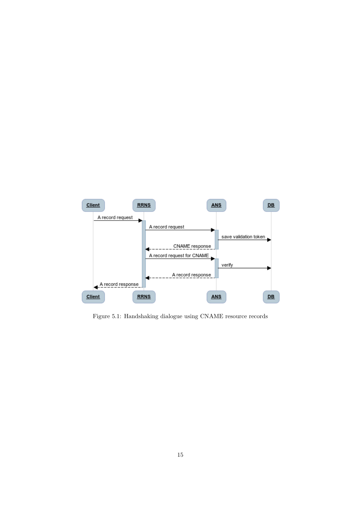

Figure 5.1: Handshaking dialogue using CNAME resource records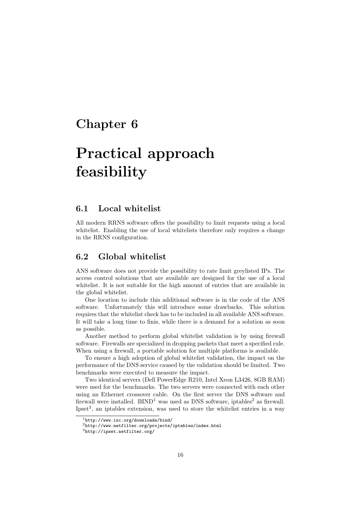# Practical approach feasibility

#### 6.1 Local whitelist

All modern RRNS software offers the possibility to limit requests using a local whitelist. Enabling the use of local whitelists therefore only requires a change in the RRNS configuration.

#### 6.2 Global whitelist

ANS software does not provide the possibility to rate limit greylisted IPs. The access control solutions that are available are designed for the use of a local whitelist. It is not suitable for the high amount of entries that are available in the global whitelist.

One location to include this additional software is in the code of the ANS software. Unfortunately this will introduce some drawbacks. This solution requires that the whitelist check has to be included in all available ANS software. It will take a long time to finis, while there is a demand for a solution as soon as possible.

Another method to perform global whitelist validation is by using firewall software. Firewalls are specialized in dropping packets that meet a specified rule. When using a firewall, a portable solution for multiple platforms is available.

To ensure a high adoption of global whitelist validation, the impact on the performance of the DNS service caused by the validation should be limited. Two benchmarks were executed to measure the impact.

Two identical servers (Dell PowerEdge R210, Intel Xeon L3426, 8GB RAM) were used for the benchmarks. The two servers were connected with each other using an Ethernet crossover cable. On the first server the DNS software and firewall were installed.  $BIND<sup>1</sup>$  was used as DNS software, iptables<sup>2</sup> as firewall. Ipset<sup>3</sup>, an iptables extension, was used to store the whitelist entries in a way

<sup>1</sup>http://www.isc.org/downloads/bind/

<sup>2</sup>http://www.netfilter.org/projects/iptables/index.html

<sup>3</sup>http://ipset.netfilter.org/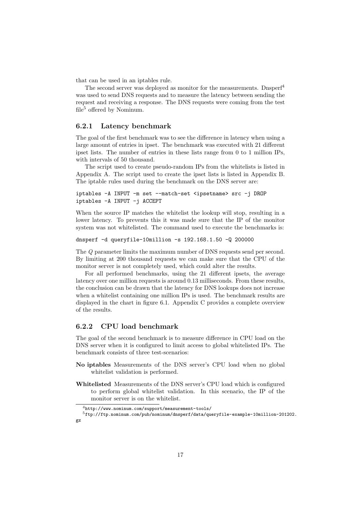that can be used in an iptables rule.

The second server was deployed as monitor for the measurements. Dnsper<sup>4</sup> was used to send DNS requests and to measure the latency between sending the request and receiving a response. The DNS requests were coming from the test file<sup>5</sup> offered by Nominum.

#### 6.2.1 Latency benchmark

The goal of the first benchmark was to see the difference in latency when using a large amount of entries in ipset. The benchmark was executed with 21 different ipset lists. The number of entries in these lists range from 0 to 1 million IPs, with intervals of 50 thousand.

The script used to create pseudo-random IPs from the whitelists is listed in Appendix A. The script used to create the ipset lists is listed in Appendix B. The iptable rules used during the benchmark on the DNS server are:

```
iptables -A INPUT -m set --match-set <ipsetname> src -j DROP
iptables -A INPUT -j ACCEPT
```
When the source IP matches the whitelist the lookup will stop, resulting in a lower latency. To prevents this it was made sure that the IP of the monitor system was not whitelisted. The command used to execute the benchmarks is:

dnsperf -d queryfile-10million -s 192.168.1.50 -Q 200000

The Q parameter limits the maximum number of DNS requests send per second. By limiting at 200 thousand requests we can make sure that the CPU of the monitor server is not completely used, which could alter the results.

For all performed benchmarks, using the 21 different ipsets, the average latency over one million requests is around 0.13 milliseconds. From these results, the conclusion can be drawn that the latency for DNS lookups does not increase when a whitelist containing one million IPs is used. The benchmark results are displayed in the chart in figure 6.1. Appendix C provides a complete overview of the results.

#### 6.2.2 CPU load benchmark

The goal of the second benchmark is to measure difference in CPU load on the DNS server when it is configured to limit access to global whitelisted IPs. The benchmark consists of three test-scenarios:

- No iptables Measurements of the DNS server's CPU load when no global whitelist validation is performed.
- Whitelisted Measurements of the DNS server's CPU load which is configured to perform global whitelist validation. In this scenario, the IP of the monitor server is on the whitelist.

<sup>4</sup>http://www.nominum.com/support/measurement-tools/

<sup>5</sup>ftp://ftp.nominum.com/pub/nominum/dnsperf/data/queryfile-example-10million-201202. gz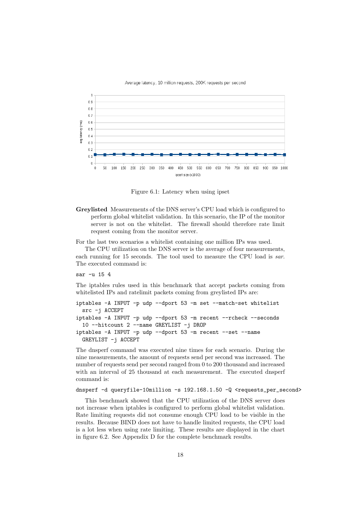



Figure 6.1: Latency when using ipset

Greylisted Measurements of the DNS server's CPU load which is configured to perform global whitelist validation. In this scenario, the IP of the monitor server is not on the whitelist. The firewall should therefore rate limit request coming from the monitor server.

For the last two scenarios a whitelist containing one million IPs was used.

The CPU utilization on the DNS server is the average of four measurements, each running for 15 seconds. The tool used to measure the CPU load is sar. The executed command is:

sar -u 15 4

The iptables rules used in this benchmark that accept packets coming from whitelisted IPs and ratelimit packets coming from greylisted IPs are:

```
iptables -A INPUT -p udp --dport 53 -m set --match-set whitelist
 src -j ACCEPT
iptables -A INPUT -p udp --dport 53 -m recent --rcheck --seconds
 10 --hitcount 2 --name GREYLIST -j DROP
iptables -A INPUT -p udp --dport 53 -m recent --set --name
 GREYLIST -j ACCEPT
```
The dnsperf command was executed nine times for each scenario. During the nine measurements, the amount of requests send per second was increased. The number of requests send per second ranged from 0 to 200 thousand and increased with an interval of 25 thousand at each measurement. The executed dnsperf command is:

dnsperf  $-d$  queryfile-10million  $-s$  192.168.1.50  $-Q$  <requests\_per\_second>

This benchmark showed that the CPU utilization of the DNS server does not increase when iptables is configured to perform global whitelist validation. Rate limiting requests did not consume enough CPU load to be visible in the results. Because BIND does not have to handle limited requests, the CPU load is a lot less when using rate limiting. These results are displayed in the chart in figure 6.2. See Appendix D for the complete benchmark results.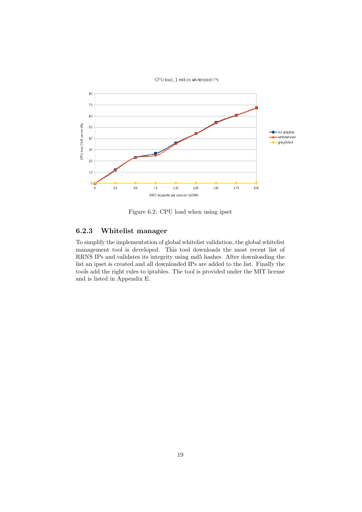

Figure 6.2: CPU load when using ipset

#### 6.2.3 Whitelist manager

To simplify the implementation of global whitelist validation, the global whitelist management tool is developed. This tool downloads the most recent list of RRNS IPs and validates its integrity using md5 hashes. After downloading the list an ipset is created and all downloaded IPs are added to the list. Finally the tools add the right rules to iptables. The tool is provided under the MIT license and is listed in Appendix E.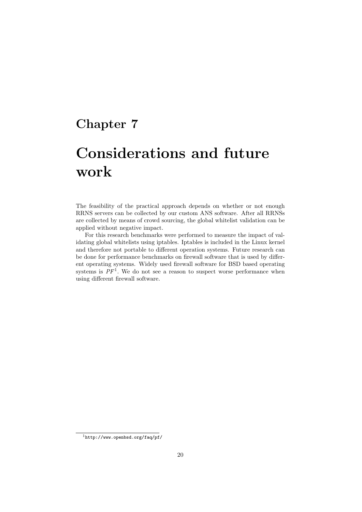# Considerations and future work

The feasibility of the practical approach depends on whether or not enough RRNS servers can be collected by our custom ANS software. After all RRNSs are collected by means of crowd sourcing, the global whitelist validation can be applied without negative impact.

For this research benchmarks were performed to measure the impact of validating global whitelists using iptables. Iptables is included in the Linux kernel and therefore not portable to different operation systems. Future research can be done for performance benchmarks on firewall software that is used by different operating systems. Widely used firewall software for BSD based operating systems is  $PF<sup>1</sup>$ . We do not see a reason to suspect worse performance when using different firewall software.

 $\frac{1}{1}$ http://www.openbsd.org/faq/pf/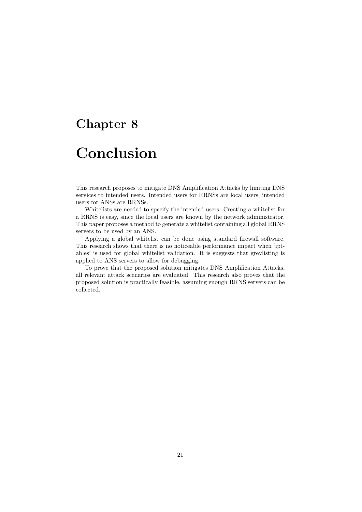## Conclusion

This research proposes to mitigate DNS Amplification Attacks by limiting DNS services to intended users. Intended users for RRNSs are local users, intended users for ANSs are RRNSs.

Whitelists are needed to specify the intended users. Creating a whitelist for a RRNS is easy, since the local users are known by the network administrator. This paper proposes a method to generate a whitelist containing all global RRNS servers to be used by an ANS.

Applying a global whitelist can be done using standard firewall software. This research shows that there is no noticeable performance impact when 'iptables' is used for global whitelist validation. It is suggests that greylisting is applied to ANS servers to allow for debugging.

To prove that the proposed solution mitigates DNS Amplification Attacks, all relevant attack scenarios are evaluated. This research also proves that the proposed solution is practically feasible, assuming enough RRNS servers can be collected.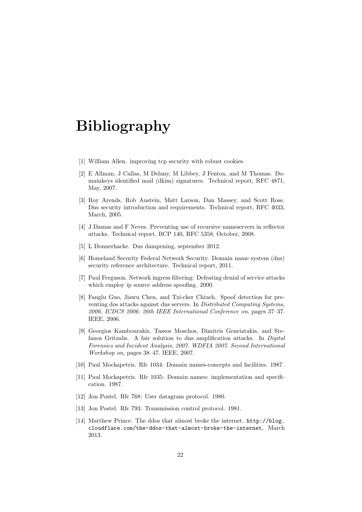## Bibliography

- [1] William Allen. improving tcp security with robust cookies.
- [2] E Allman, J Callas, M Delany, M Libbey, J Fenton, and M Thomas. Domainkeys identified mail (dkim) signatures. Technical report, RFC 4871, May, 2007.
- [3] Roy Arends, Rob Austein, Matt Larson, Dan Massey, and Scott Rose. Dns security introduction and requirements. Technical report, RFC 4033, March, 2005.
- [4] J Damas and F Neves. Preventing use of recursive nameservers in reflector attacks. Technical report, BCP 140, RFC 5358, October, 2008.
- [5] L Donnerhacke. Dns dampening, september 2012.
- [6] Homeland Security Federal Network Security. Domain name system (dns) security reference architecture. Technical report, 2011.
- [7] Paul Ferguson. Network ingress filtering: Defeating denial of service attacks which employ ip source address spoofing. 2000.
- [8] Fanglu Guo, Jiawu Chen, and Tzi-cker Chiueh. Spoof detection for preventing dos attacks against dns servers. In Distributed Computing Systems, 2006. ICDCS 2006. 26th IEEE International Conference on, pages 37–37. IEEE, 2006.
- [9] Georgios Kambourakis, Tassos Moschos, Dimitris Geneiatakis, and Stefanos Gritzalis. A fair solution to dns amplification attacks. In Digital Forensics and Incident Analysis, 2007. WDFIA 2007. Second International Workshop on, pages 38–47. IEEE, 2007.
- [10] Paul Mockapetris. Rfc 1034: Domain names-concepts and facilities. 1987.
- [11] Paul Mockapetris. Rfc 1035: Domain names: implementation and specification. 1987.
- [12] Jon Postel. Rfc 768: User datagram protocol. 1980.
- [13] Jon Postel. Rfc 793: Transmission control protocol. 1981.
- [14] Matthew Prince. The ddos that almost broke the internet. http://blog. cloudflare.com/the-ddos-that-almost-broke-the-internet, March 2013.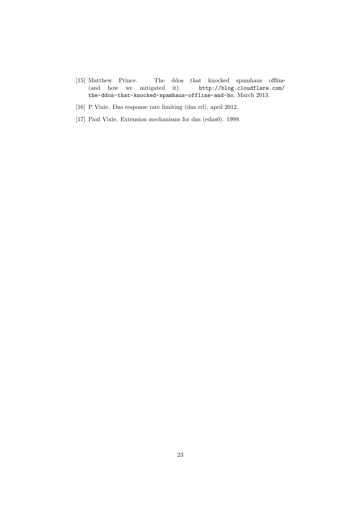- [15] Matthew Prince. The ddos that knocked spamhaus offline (and how we mitigated it).  $http://blog.cIoudflare.com/$  $(and how we mitigated it).$ the-ddos-that-knocked-spamhaus-offline-and-ho, March 2013.
- [16] P Vixie. Dns response rate limiting (dns rrl), april 2012.
- [17] Paul Vixie. Extension mechanisms for dns (edns0). 1999.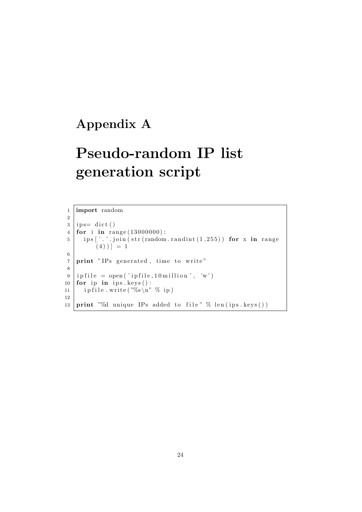### Appendix A

# Pseudo-random IP list generation script

```
1 import random
  2
  3 ips= dict()
  4 for i in range (13000000):
  5 \mid \text{ips} ['.'.join(\text{str}(\text{random.random}(1, 255))) for x in range
                       (4)) = 16
  7 print "IPs generated, time to write"
  8
  9 \mid i \text{ of } i \text{ is } = \text{ open}(i \text{ if } i \text{ is } i \text{ if } i \text{ is } i \text{ is } i \text{ if } i \text{ is } i \text{ if } i \text{ is } i \text{ if } i \text{ is } i \text{ is } i \text{ if } i \text{ is } i \text{ is } i \text{ if } i \text{ is } i \text{ is } i \text{ if } i \text{ is } i \text{ is } i \text{ if } i \text{ is } i \text{ is } i \text{ is } i \text{ is } i \text{ is } i \text{ is } i \text{ is } i \text{ is } i \text{ is } i \text{ is } i \text{ is } i10 for ip in ips. keys():
11 | ip file.write (\sqrt[6]{6} \, \text{in}^{\,7} \, \%) ip)
12
13 print "%d unique IPs added to file" % len(ips.keys())
```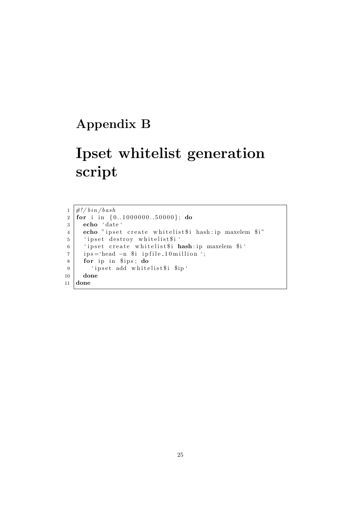### Appendix B

# Ipset whitelist generation script

 $1 \frac{#!}{\phi}$  in /bash 2 for i in  $\{0..1000000..50000\}$ ; do 3 echo ' date ' 4 echo "ipset create whitelist\$i hash: ip maxelem \$i" 5 | 'ipset destroy whitelist\$i' 6 ' ipset create whitelist\$i hash: ip maxelem \$i' 7 | ips='head −n \$i ipfile\_10million '; 8 for ip in \$ips; do 9 | 'ipset add whitelist\$i \$ip' 10 done 11 done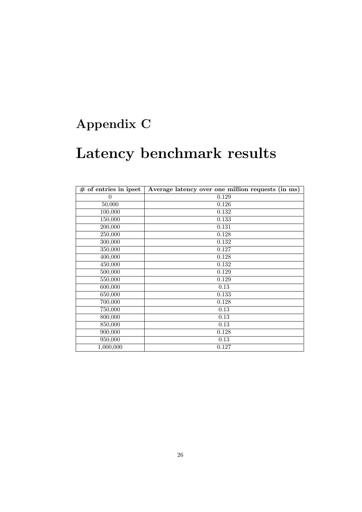## Appendix C

# Latency benchmark results

| $#$ of entries in ipset | Average latency over one million requests (in ms) |
|-------------------------|---------------------------------------------------|
| $\theta$                | 0.129                                             |
| 50,000                  | 0.126                                             |
| 100,000                 | 0.132                                             |
| 150,000                 | 0.133                                             |
| 200,000                 | 0.131                                             |
| 250,000                 | 0.128                                             |
| 300,000                 | 0.132                                             |
| 350,000                 | 0.127                                             |
| 400,000                 | 0.128                                             |
| 450,000                 | 0.132                                             |
| 500,000                 | 0.129                                             |
| 550,000                 | 0.129                                             |
| 600,000                 | 0.13                                              |
| 650,000                 | 0.133                                             |
| 700,000                 | 0.128                                             |
| 750,000                 | 0.13                                              |
| 800,000                 | 0.13                                              |
| 850,000                 | 0.13                                              |
| 900,000                 | 0.128                                             |
| 950,000                 | 0.13                                              |
| 1,000,000               | 0.127                                             |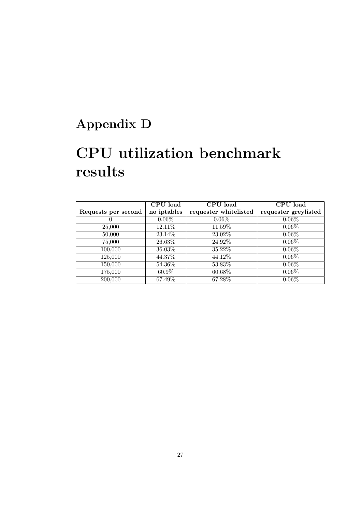## Appendix D

# CPU utilization benchmark results

|                     | CPU load    | CPU load              | CPU load             |
|---------------------|-------------|-----------------------|----------------------|
| Requests per second | no iptables | requester whitelisted | requester greylisted |
| $\theta$            | $0.06\%$    | $0.06\%$              | $0.06\%$             |
| 25,000              | 12.11\%     | 11.59%                | $0.06\%$             |
| 50,000              | 23.14%      | 23.02%                | $0.06\%$             |
| 75,000              | 26.63%      | 24.92%                | $0.06\%$             |
| 100,000             | 36.03%      | 35.22\%               | $0.06\%$             |
| 125,000             | 44.37%      | 44.12\%               | $0.06\%$             |
| 150,000             | 54.36%      | 53.83%                | $0.06\%$             |
| 175,000             | 60.9%       | 60.68%                | $0.06\%$             |
| 200,000             | 67.49%      | 67.28%                | $0.06\%$             |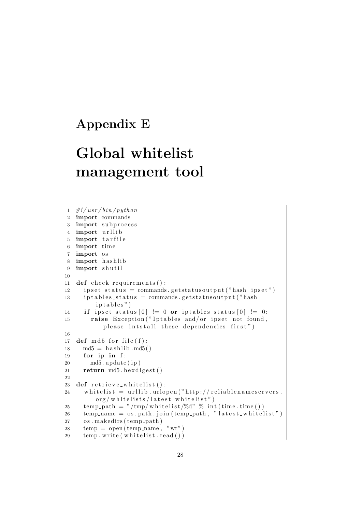### Appendix E

# Global whitelist management tool

```
1 \mid \#!/ usr/bin/python
2 import commands
3 import subprocess
4 import urllib
5 import tarfile
6 import time
7 import os
8 import has hlib
9 import shutil
10
11 def check_requirements():
12 ipset_status = commands.getstatusoutput ("hash ipset")
13 iptables_status = commands.getstatusoutput ("hash
         iptables")
14 if ipset_status [0] := 0 or iptables_status [0] := 0:
15 raise Exception ("Iptables and/or ipset not found,
           please intstall these dependencies first")
16
17 \text{ def } m d 5 for file (f):
18 \mid \text{md5} = \text{hashlib} \cdot \text{md5}()19 for ip in f:
20 md5. update (ip)
21 return md5. h exdigest ()
22
23 def retrieve_whitelist():
24 whitelist = urllib.urlopen ("http://reliablenameservers.\frac{\arg(\text{whitelists})}{\text{lastest_w}25 temp path = \sqrt[m]{mp/m} whitelist /%d" % int (time . time ())
26 temp_name = \cos. path. join (temp_path, "latest_whitelist")
27 os. makedirs (temp_path)
28 temp = open (temp_name, "wr")
29 temp. write (whitelist.read ())
```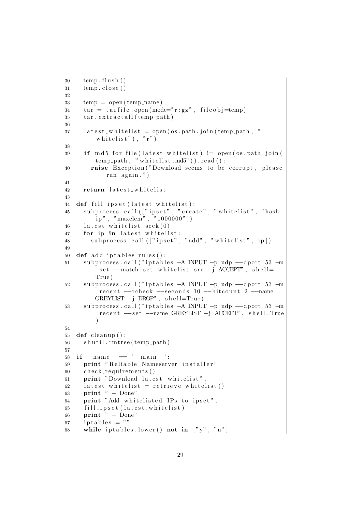```
30 temp. flush ()
31 temp. close ()
32
33 temp = open ( temp_name )
34 \mid \text{tar} = \text{tar file} \cdot \text{open} (\text{mode} = \text{"r:gz"} , \text{fileobj} = \text{temp})35 \tan \arctan \arctan \tan36
37 latest_whitelist = open (os.path.join (temp_path, "
          whitelist"), "r")
38
39 if \text{md5-for-file} (latest_whitelist) != open (os. path. join (
         temp-path, "whitelist.md5")).read():
40 | raise Exception ("Download seems to be corrupt, please
             run again.")
41
42 return latest-whitelist
43
44 def fill_ipset (latest_whitelist):
45 | subprocess.call(["ipset", "create", "whitelist", "hash:
          \mathrm{ip}^{\, \mathrm{w}} \, , \ \ ^{\mathrm{w}}\text{maxelem}^{\mathrm{w}} \, , \ \ ^{\mathrm{w}}\text{ 1000000" \, ] \, )46 | latest_whitelist.seek(0)47 for ip in latest_whitelist:
48 subprocess.call (["ipset", "add", "whitelist", ip])
49
50 def add_iptables_rules():
51 | subprocess.call ("iptables -A INPUT -p udp --dport 53 -m
           set --match-set whitelist src -j ACCEPT", shell=
         True )
52 subprocess.call ("iptables −A INPUT −p udp −−dport 53 −m
           recent --rcheck --seconds 10 --hitcount 2 --name
         GREYLIST -j DROP", shell=True)
53 subprocess.call ("iptables –A INPUT –p udp —−dport 53 –m
           recent --set --name GREYLIST -j ACCEPT", shell=True
          \lambda54
55 def cleanup():
56 shutil.rmtree (temp_path)
57
58 if \ldots name \ldots \ldots \ldots main \ldots ':
59 print "Reliable Nameserver installer"
60 check_requirements ()
61 print "Download latest whitelist",
62 | latest_whitelist = retrieve_whitelist()
63 print " – Done"
64 print "Add whitelisted IPs to ipset",
65 fill_ipset (latest_whitelist)
66 print " – Done"
67 | iptables = ""
68 while iptables lower () not in ['y", "n"]:
```